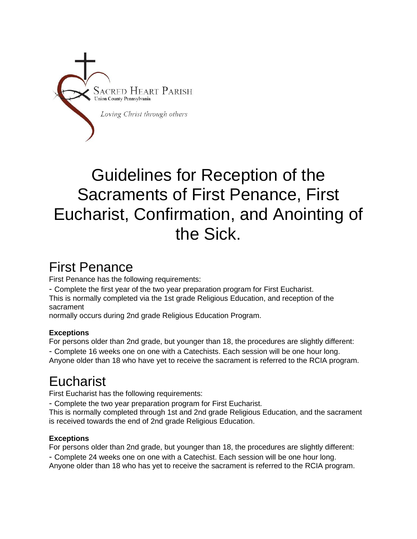

# Guidelines for Reception of the Sacraments of First Penance, First Eucharist, Confirmation, and Anointing of the Sick.

### First Penance

First Penance has the following requirements:

- Complete the first year of the two year preparation program for First Eucharist.

This is normally completed via the 1st grade Religious Education, and reception of the sacrament

normally occurs during 2nd grade Religious Education Program.

#### **Exceptions**

For persons older than 2nd grade, but younger than 18, the procedures are slightly different:

- Complete 16 weeks one on one with a Catechists. Each session will be one hour long. Anyone older than 18 who have yet to receive the sacrament is referred to the RCIA program.

## **Eucharist**

First Eucharist has the following requirements:

- Complete the two year preparation program for First Eucharist.

This is normally completed through 1st and 2nd grade Religious Education, and the sacrament is received towards the end of 2nd grade Religious Education.

#### **Exceptions**

For persons older than 2nd grade, but younger than 18, the procedures are slightly different:

- Complete 24 weeks one on one with a Catechist. Each session will be one hour long.

Anyone older than 18 who has yet to receive the sacrament is referred to the RCIA program.